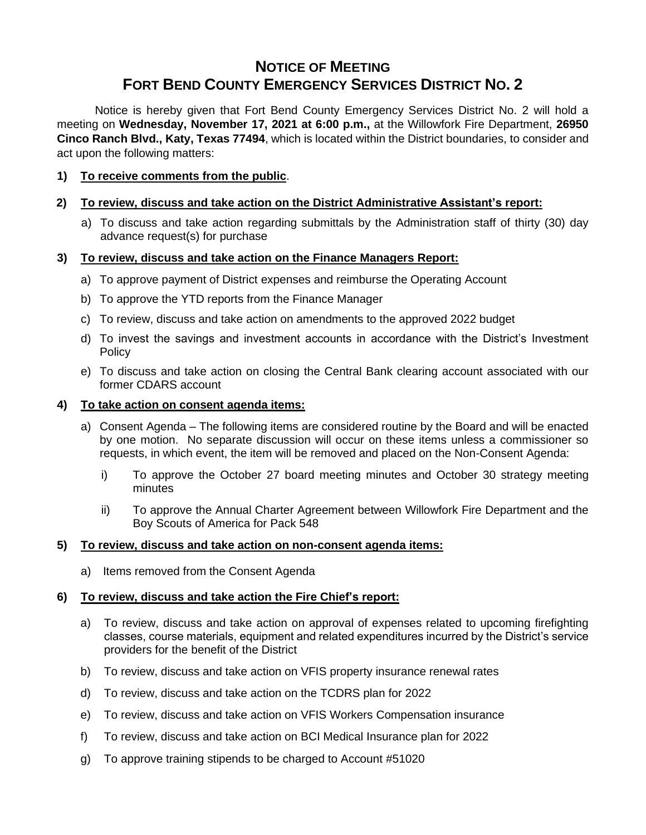# **NOTICE OF MEETING FORT BEND COUNTY EMERGENCY SERVICES DISTRICT NO. 2**

Notice is hereby given that Fort Bend County Emergency Services District No. 2 will hold a meeting on **Wednesday, November 17, 2021 at 6:00 p.m.,** at the Willowfork Fire Department, **26950 Cinco Ranch Blvd., Katy, Texas 77494**, which is located within the District boundaries, to consider and act upon the following matters:

## **1) To receive comments from the public**.

## **2) To review, discuss and take action on the District Administrative Assistant's report:**

a) To discuss and take action regarding submittals by the Administration staff of thirty (30) day advance request(s) for purchase

#### **3) To review, discuss and take action on the Finance Managers Report:**

- a) To approve payment of District expenses and reimburse the Operating Account
- b) To approve the YTD reports from the Finance Manager
- c) To review, discuss and take action on amendments to the approved 2022 budget
- d) To invest the savings and investment accounts in accordance with the District's Investment Policy
- e) To discuss and take action on closing the Central Bank clearing account associated with our former CDARS account

#### **4) To take action on consent agenda items:**

- a) Consent Agenda The following items are considered routine by the Board and will be enacted by one motion. No separate discussion will occur on these items unless a commissioner so requests, in which event, the item will be removed and placed on the Non-Consent Agenda:
	- i) To approve the October 27 board meeting minutes and October 30 strategy meeting minutes
	- ii) To approve the Annual Charter Agreement between Willowfork Fire Department and the Boy Scouts of America for Pack 548

#### **5) To review, discuss and take action on non-consent agenda items:**

a) Items removed from the Consent Agenda

## **6) To review, discuss and take action the Fire Chief's report:**

- a) To review, discuss and take action on approval of expenses related to upcoming firefighting classes, course materials, equipment and related expenditures incurred by the District's service providers for the benefit of the District
- b) To review, discuss and take action on VFIS property insurance renewal rates
- d) To review, discuss and take action on the TCDRS plan for 2022
- e) To review, discuss and take action on VFIS Workers Compensation insurance
- f) To review, discuss and take action on BCI Medical Insurance plan for 2022
- g) To approve training stipends to be charged to Account #51020